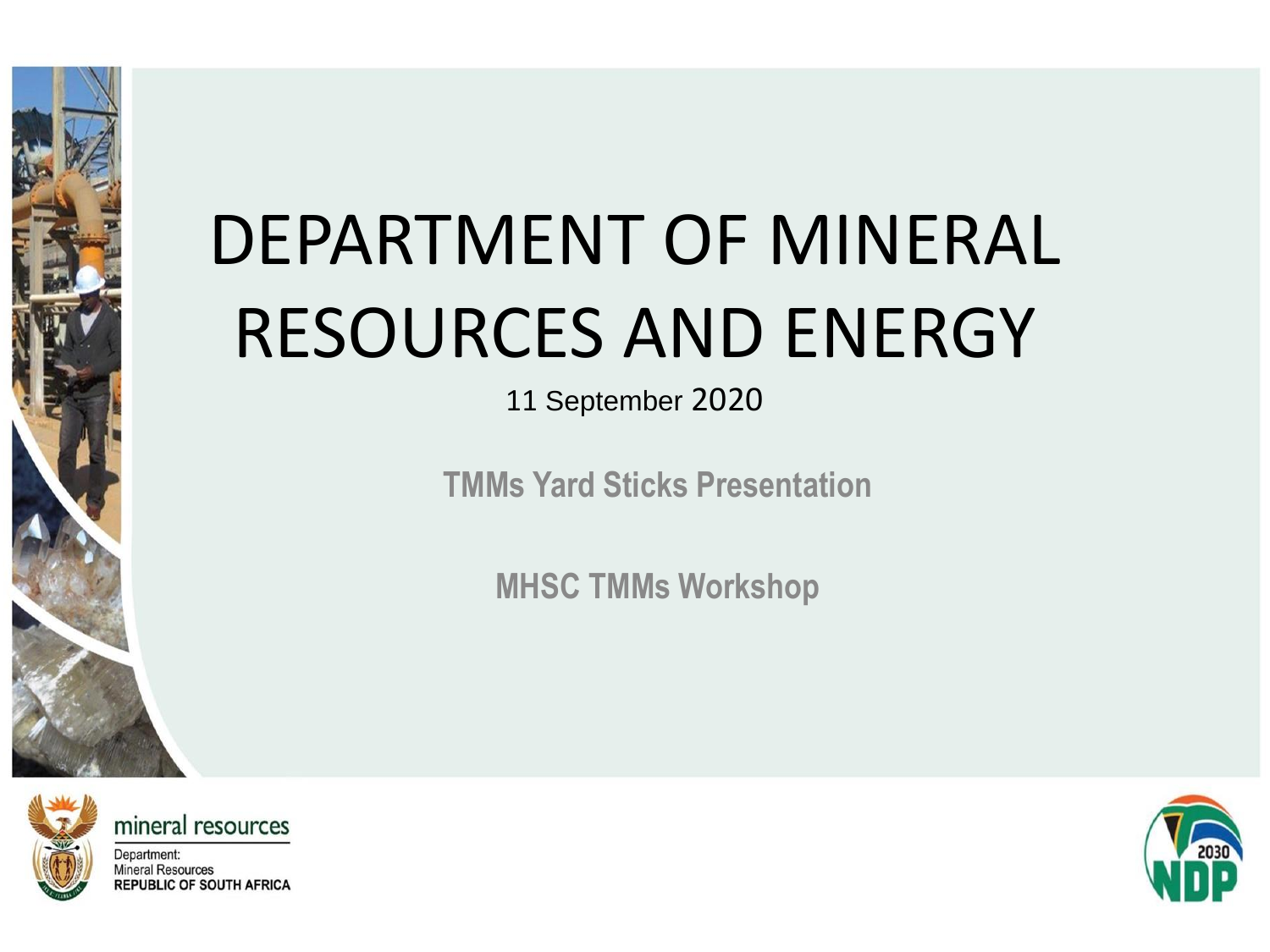# DEPARTMENT OF MINERAL RESOURCES AND ENERGY

11 September 2020

**TMMs Yard Sticks Presentation**

**MHSC TMMs Workshop**



mineral resources

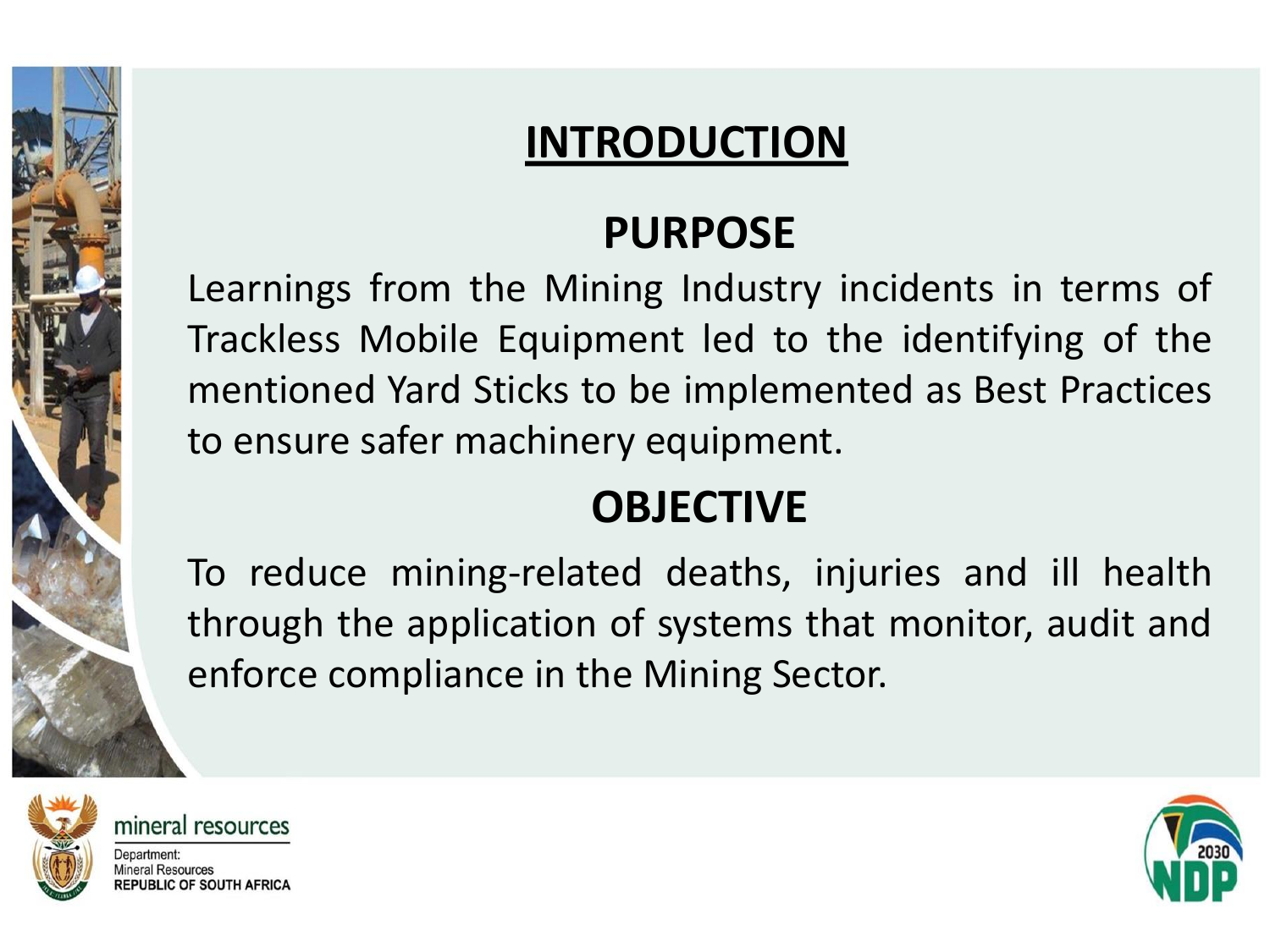#### **INTRODUCTION**

#### **PURPOSE**

Learnings from the Mining Industry incidents in terms of Trackless Mobile Equipment led to the identifying of the mentioned Yard Sticks to be implemented as Best Practices to ensure safer machinery equipment.

#### **OBJECTIVE**

To reduce mining-related deaths, injuries and ill health through the application of systems that monitor, audit and enforce compliance in the Mining Sector.



mineral resources Department: **Mineral Resources** 

**REPUBLIC OF SOUTH AFRICA** 

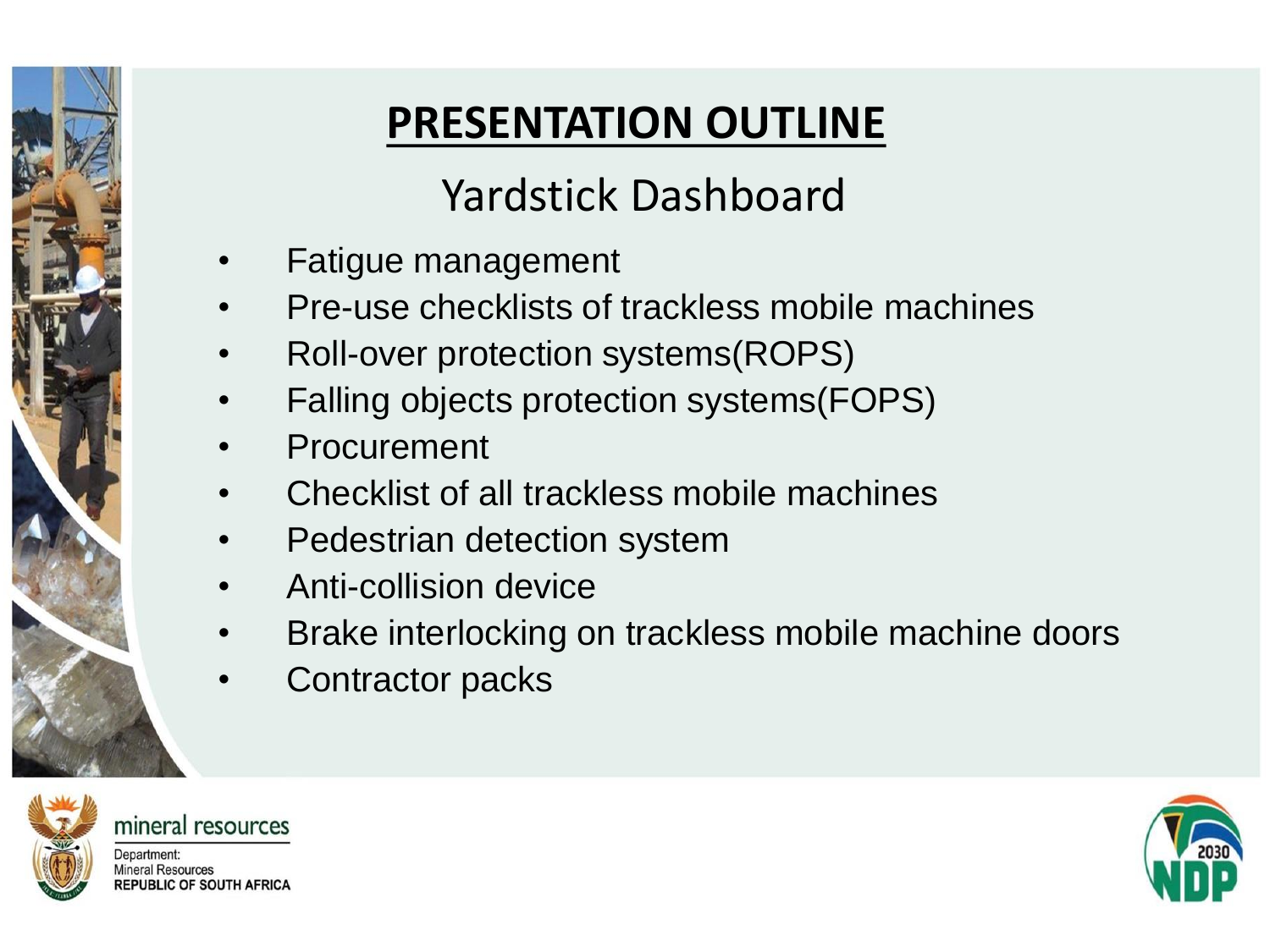### **PRESENTATION OUTLINE**

#### Yardstick Dashboard

- Fatigue management
- Pre-use checklists of trackless mobile machines
- Roll-over protection systems(ROPS)
- Falling objects protection systems(FOPS)
- **Procurement**
- Checklist of all trackless mobile machines
- Pedestrian detection system
- Anti-collision device
- Brake interlocking on trackless mobile machine doors
- Contractor packs



mineral resources

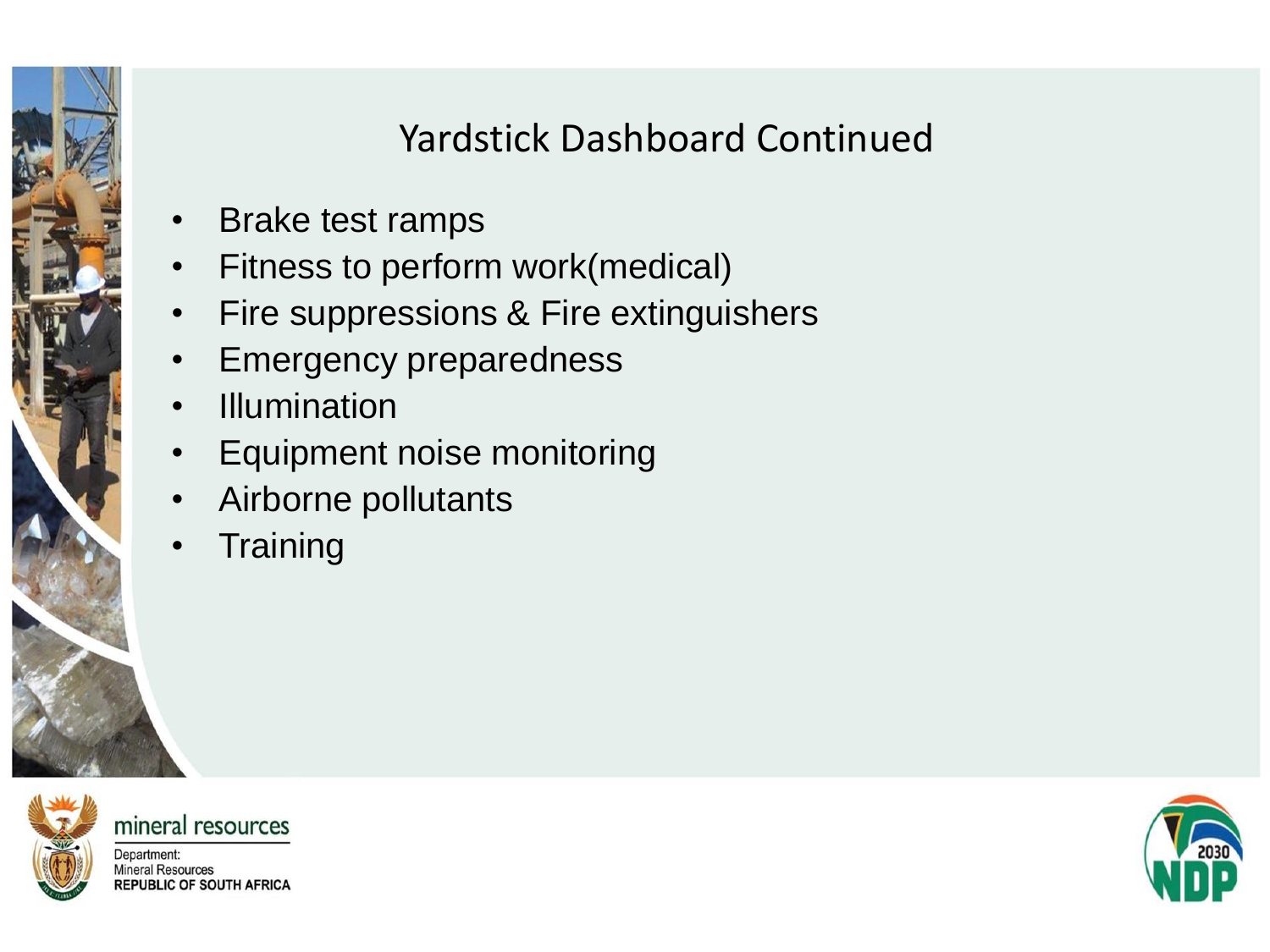#### Yardstick Dashboard Continued

- Brake test ramps
- Fitness to perform work(medical)
- Fire suppressions & Fire extinguishers
- **Emergency preparedness**
- Illumination
- Equipment noise monitoring
- Airborne pollutants
- **Training**



mineral resources

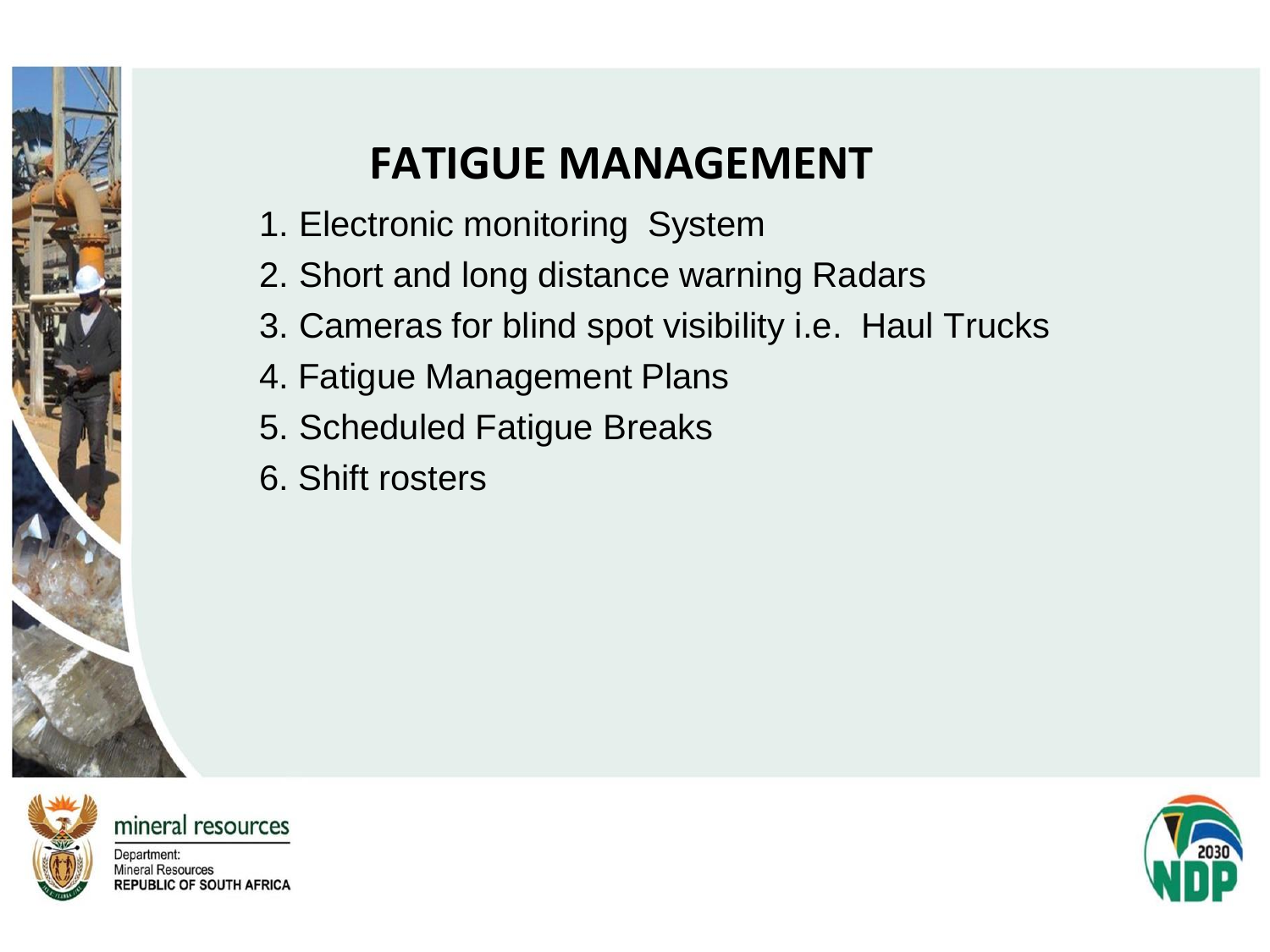### **FATIGUE MANAGEMENT**

- 1. Electronic monitoring System
- 2. Short and long distance warning Radars
- 3. Cameras for blind spot visibility i.e. Haul Trucks
- 4. Fatigue Management Plans
- 5. Scheduled Fatigue Breaks
- 6. Shift rosters



mineral resources

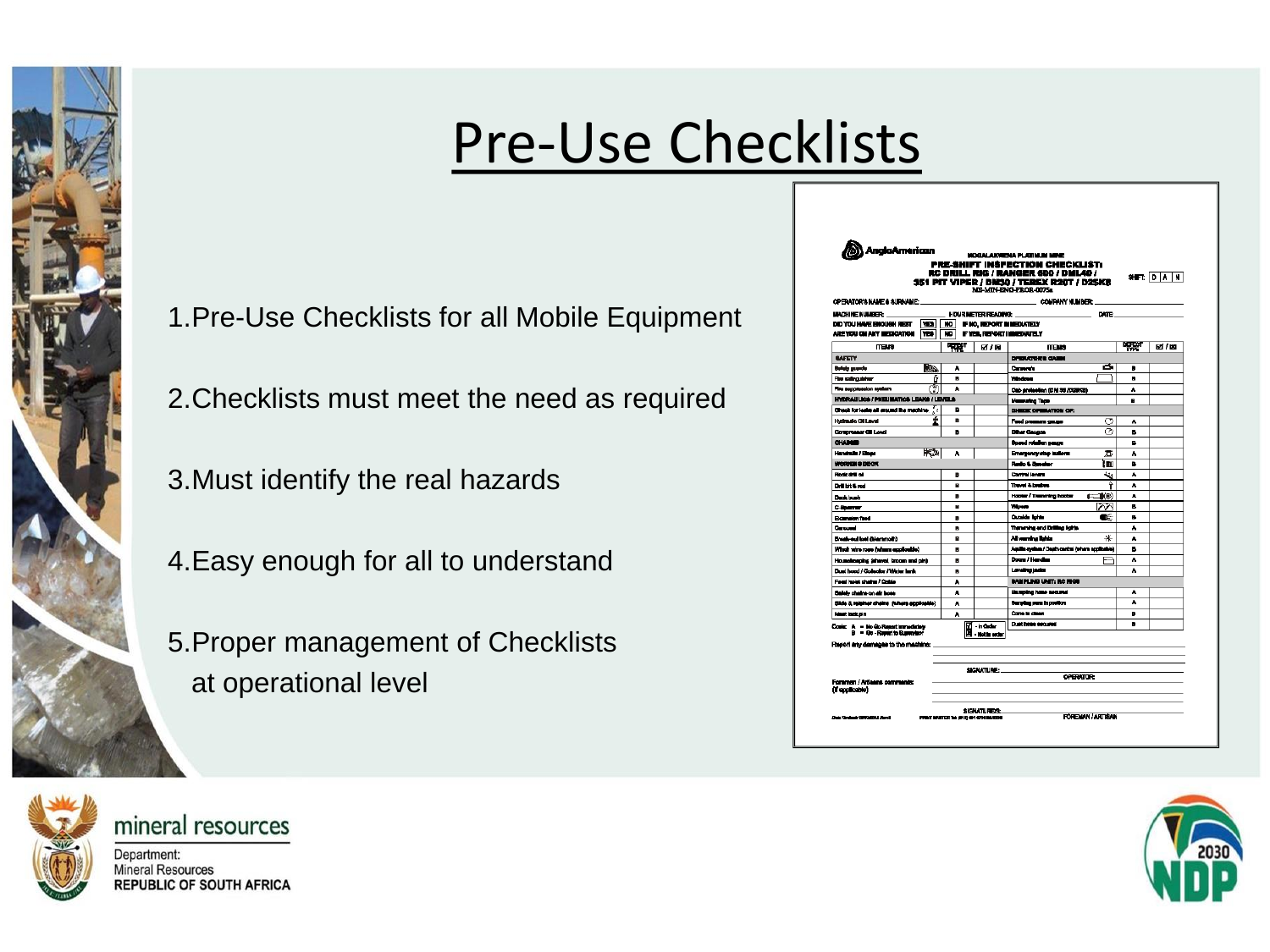## Pre-Use Checklists

1.Pre-Use Checklists for all Mobile Equipment

2.Checklists must meet the need as required

3.Must identify the real hazards

4.Easy enough for all to understand

5.Proper management of Checklists at operational level



mineral resources

| OPERATOR'S MAKE A SUBMANE.                                        |                                           |        |                                            | 351 PIT VIPER / BN30 / TEREX R20T / D25KS<br>MS-MIN-RNG-PROR-007Sa |         | SHET: DIA INI |  |  |
|-------------------------------------------------------------------|-------------------------------------------|--------|--------------------------------------------|--------------------------------------------------------------------|---------|---------------|--|--|
| <b>MACHINE NUMBER:</b><br>DID YOU HAVE ENOUGH REST                |                                           |        |                                            | COMPANY NUMBER:                                                    |         |               |  |  |
|                                                                   |                                           |        | HOUR METER READING:                        | DATE:                                                              |         |               |  |  |
|                                                                   | lsal<br>80.<br>IF NO. REPORT IN NEDIATELY |        |                                            |                                                                    |         |               |  |  |
| ARE YOU ON ANY IMEDICATION                                        | YES:                                      | wo     |                                            | FYES REPORT IMPOUNTELY                                             |         |               |  |  |
| maxe                                                              |                                           | न्द्रश | <b>材料</b>                                  | <b>TTEM</b>                                                        | प्राप्त | 团/图           |  |  |
| <b>BAFETY</b>                                                     |                                           |        |                                            | DRUGGERS GAME                                                      |         |               |  |  |
| Befolk scorche                                                    | æ.                                        | ۸      |                                            | a<br>Corporate                                                     | n       |               |  |  |
| Fire extinguisting                                                | ō                                         | ٠      |                                            | Windows                                                            | œ       |               |  |  |
| Fire euggesesion system                                           | N                                         | A      |                                            | Cab archeolon (DM 30 /D2003)                                       | ۸       |               |  |  |
| <b>INDRAILICA (PUBLICATICA LEARA / LEVELA</b>                     |                                           |        | Manusche Tege                              | я                                                                  |         |               |  |  |
| Check for lesin all stound the mechine.<br>R                      |                                           |        |                                            | DISTURBATION OF:                                                   |         |               |  |  |
| <b>Hydraulo Ol Laval</b>                                          | ŕ                                         | ٠      |                                            | ◠<br>Ford pressure cause                                           | ٨       |               |  |  |
| <b>Gorgorgener Gill Lovel</b>                                     |                                           | в      |                                            | ᢙ<br>Dihar Gaussa                                                  | в       |               |  |  |
| <b>CHAINE</b>                                                     |                                           |        |                                            | <b>Opend rotation peace</b>                                        | в       |               |  |  |
| Handrale / Kinga                                                  | Ñ                                         | A      |                                            | Emergency step indican<br>鴌                                        | ٨       |               |  |  |
| WORKING DECK                                                      |                                           |        |                                            | <b>Redo &amp; Deader</b><br>ìn                                     | R       |               |  |  |
| Rock and all                                                      |                                           | в      |                                            | Control levers<br>ويمة                                             | A       |               |  |  |
| Dril bit & md                                                     |                                           | п      |                                            | Travel & Louises<br>Ŷ                                              | ٨       |               |  |  |
| Dask bush                                                         |                                           | B      |                                            | Haster / Tremming haster<br><b>1-10</b>                            | Á       |               |  |  |
| $c$ -booms                                                        |                                           | н      |                                            | ハハ<br>Woon                                                         | n.      |               |  |  |
| Extension fixed                                                   |                                           | в      |                                            | Outside Britan<br>œ                                                | œ.      |               |  |  |
| Contact of                                                        |                                           | ٠      |                                            | Transmiss and Drilling Ights.                                      | ٨       |               |  |  |
| Break-out lost Glemmoth)                                          |                                           | ٠      |                                            | ∗<br>All warning lights                                            | ٠       |               |  |  |
| Which was note former explosible)                                 |                                           | н      |                                            | Aquilia ayalam / Depth central (teham applicable)                  | в       |               |  |  |
| Houndmeping (shave), broom and pin)                               |                                           | п      |                                            | Down / Hending                                                     | ٨       |               |  |  |
| Dust hood / Collector / Water lank                                |                                           | ٠      |                                            | Loveing index                                                      | ٨       |               |  |  |
| Food hold chairs / Critic                                         |                                           | ٨      |                                            | BANPLING UNIT: RC RIGH                                             |         |               |  |  |
| Sales chains on air boss                                          |                                           | Á      |                                            | <b>Humping hose accurat</b>                                        |         |               |  |  |
| Silde & relainer cheins (tuhere applicable)                       |                                           | A      |                                            | Sender was hoodby.                                                 | ۸       |               |  |  |
| <b>Newthern</b> pin                                               |                                           | A      |                                            | Come la chann                                                      | B       |               |  |  |
| Cosis: A - No Go Report Immediately<br>B = Go-Resert to Buseness' |                                           |        |                                            | Dust hose secured                                                  | ٠       |               |  |  |
| Report any demanes to the machine:                                |                                           |        | <b>Ed</b> - n Order<br>Bill - not in erfor |                                                                    |         |               |  |  |
| Foremen / Arliaans comments:<br>(if applicable)                   |                                           |        | SIGNATURE:                                 | <b>OPERATOR:</b>                                                   |         |               |  |  |
|                                                                   |                                           |        | SIGNATURE/S:                               |                                                                    |         |               |  |  |

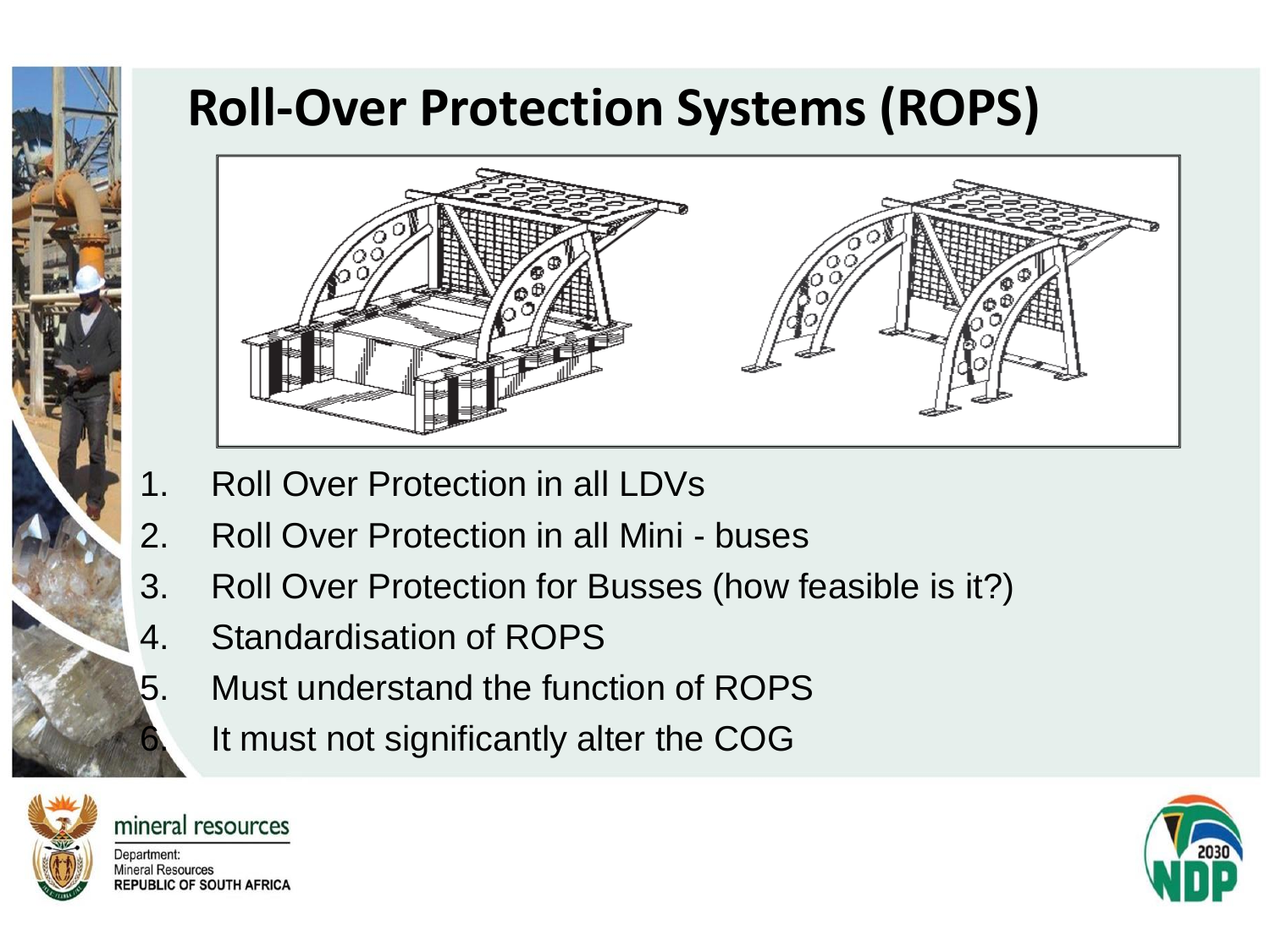### **Roll-Over Protection Systems (ROPS)**



- 1. Roll Over Protection in all LDVs
- 2. Roll Over Protection in all Mini buses
- 3. Roll Over Protection for Busses (how feasible is it?)
- 4. Standardisation of ROPS
- 5. Must understand the function of ROPS
	- 6. It must not significantly alter the COG



mineral resources Department: **Mineral Resources REPUBLIC OF SOUTH AFRICA** 

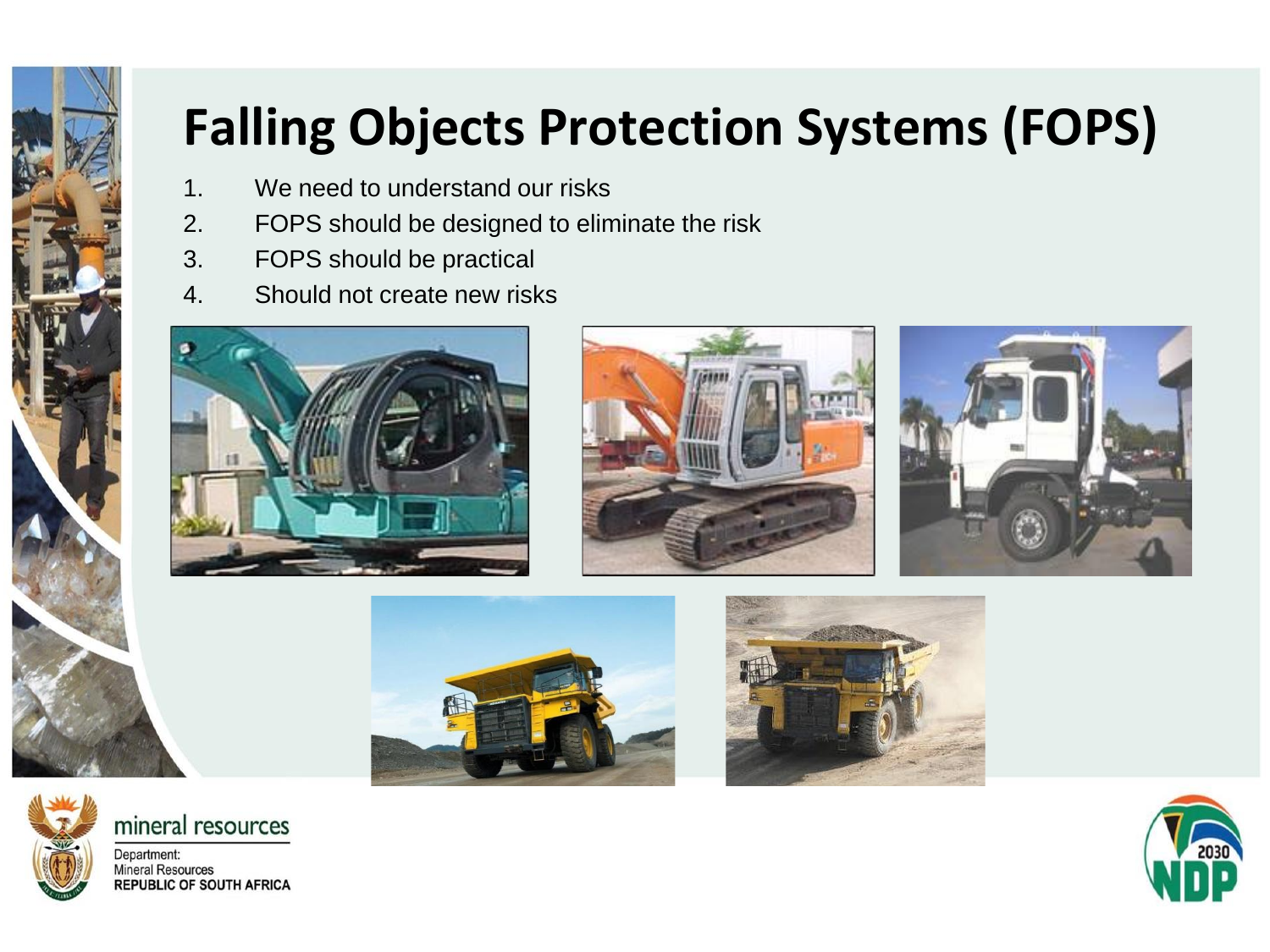# **Falling Objects Protection Systems (FOPS)**

- 1. We need to understand our risks
- 2. FOPS should be designed to eliminate the risk
- 3. FOPS should be practical
- 4. Should not create new risks













mineral resources

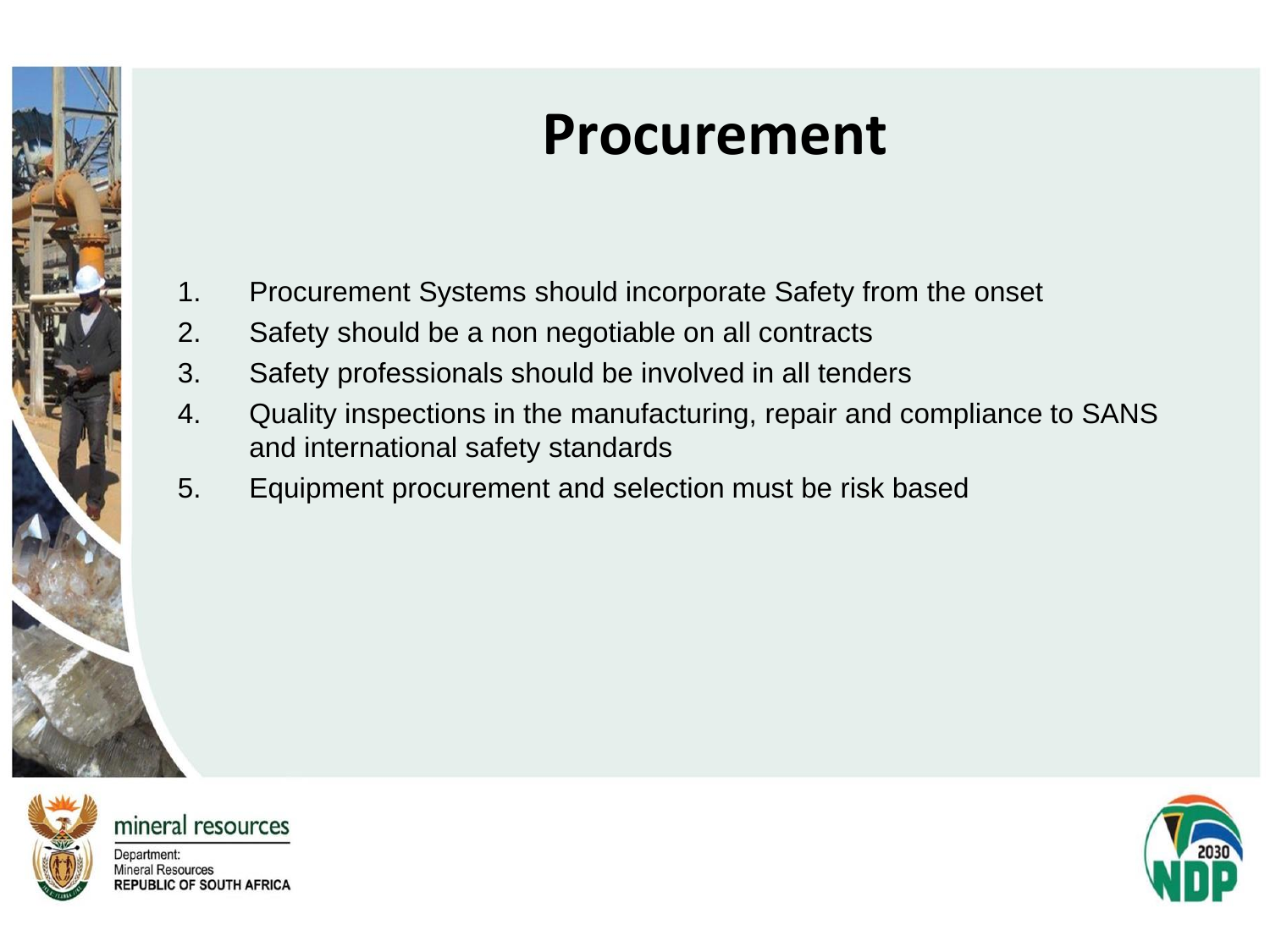## **Procurement**

- 1. Procurement Systems should incorporate Safety from the onset
- 2. Safety should be a non negotiable on all contracts
- 3. Safety professionals should be involved in all tenders
- 4. Quality inspections in the manufacturing, repair and compliance to SANS and international safety standards
- 5. Equipment procurement and selection must be risk based



mineral resources

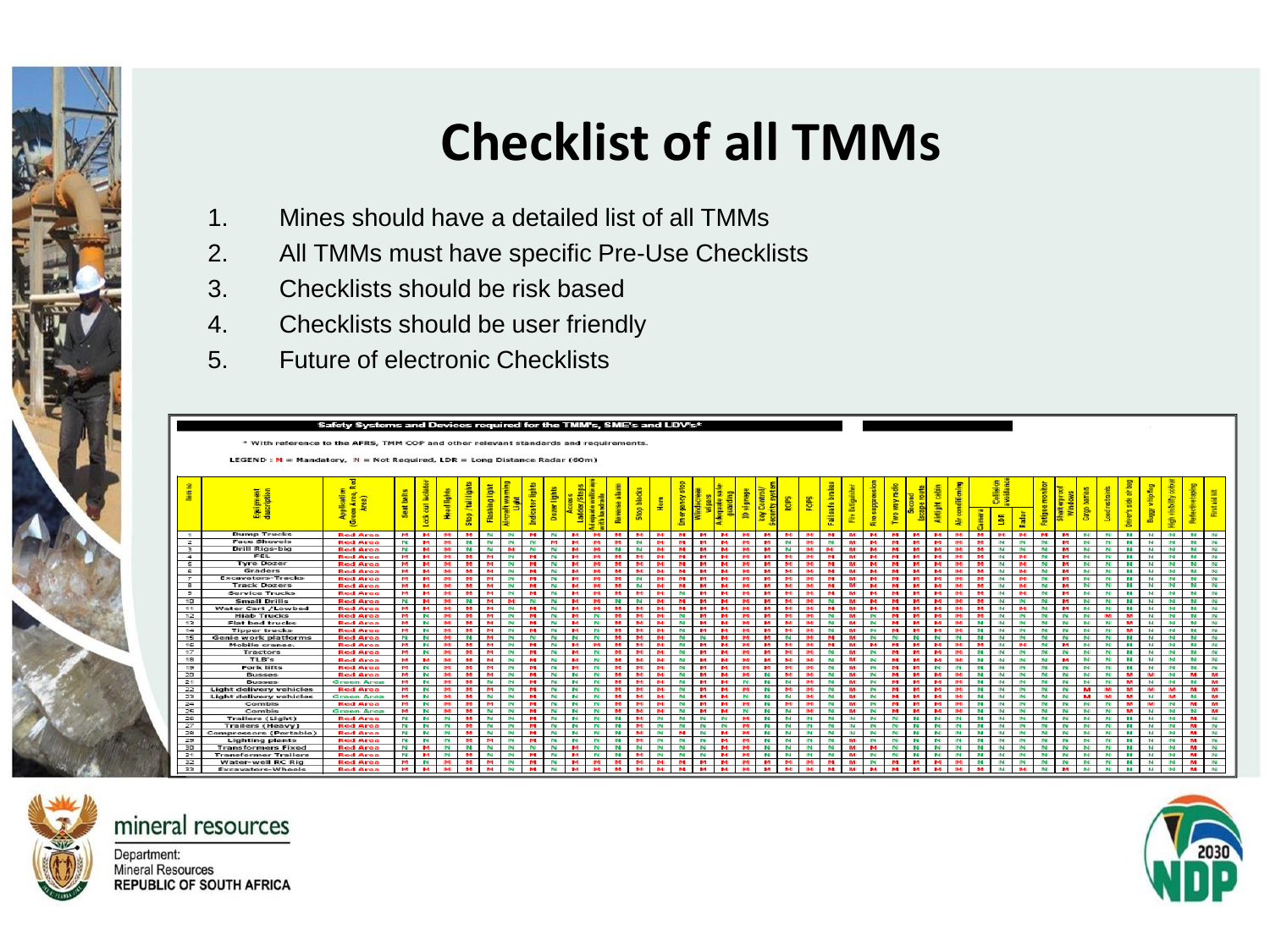## **Checklist of all TMMs**

- 1. Mines should have a detailed list of all TMMs
- 2. All TMMs must have specific Pre-Use Checklists
- 3. Checklists should be risk based
- 4. Checklists should be user friendly
- 5. Future of electronic Checklists







Mineral Resources **REPUBLIC OF SOUTH AFRICA** 

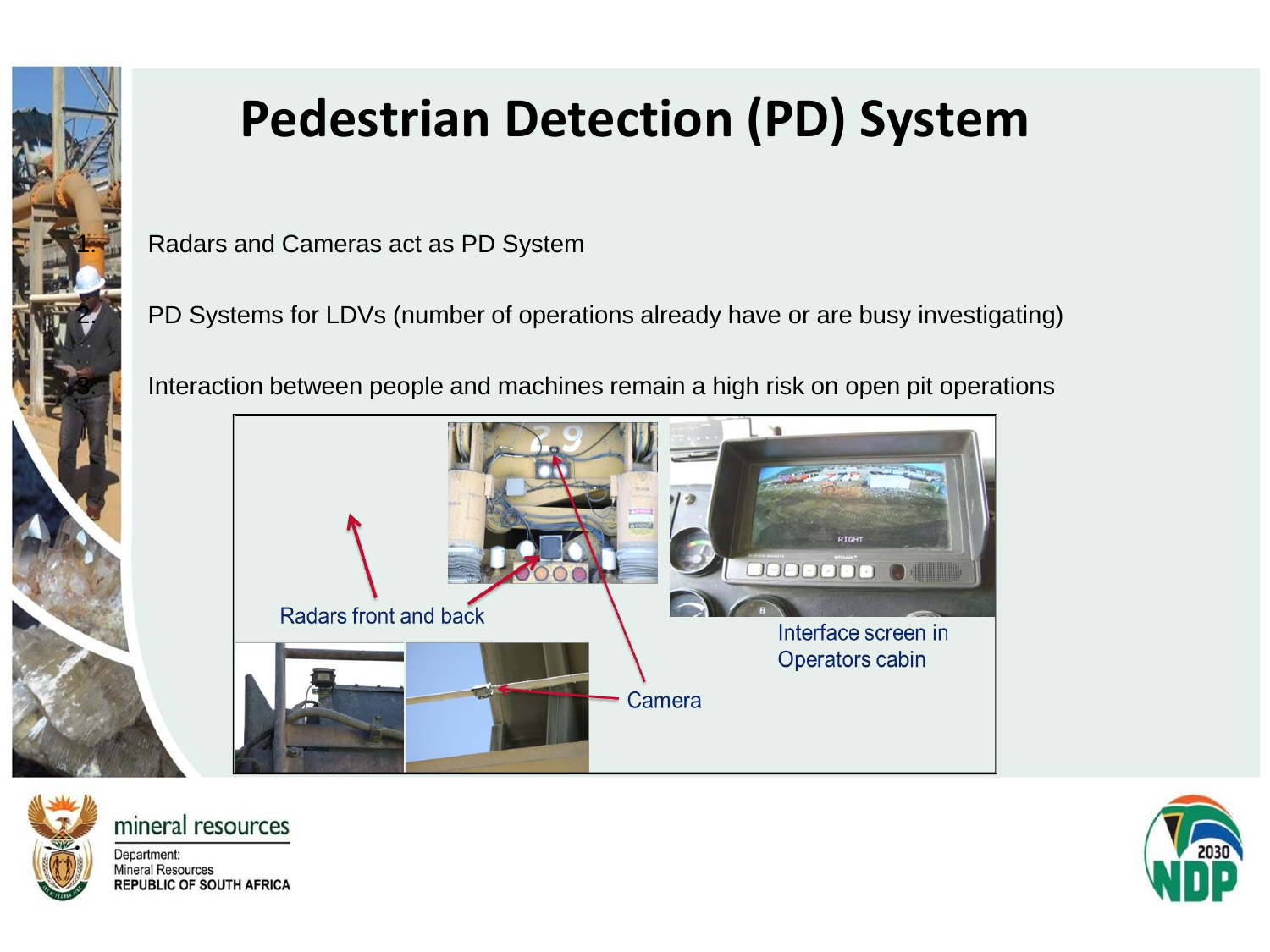

## **Pedestrian Detection (PD) System**

Radars and Cameras act as PD System

PD Systems for LDVs (number of operations already have or are busy investigating)

Interaction between people and machines remain a high risk on open pit operations





mineral resources

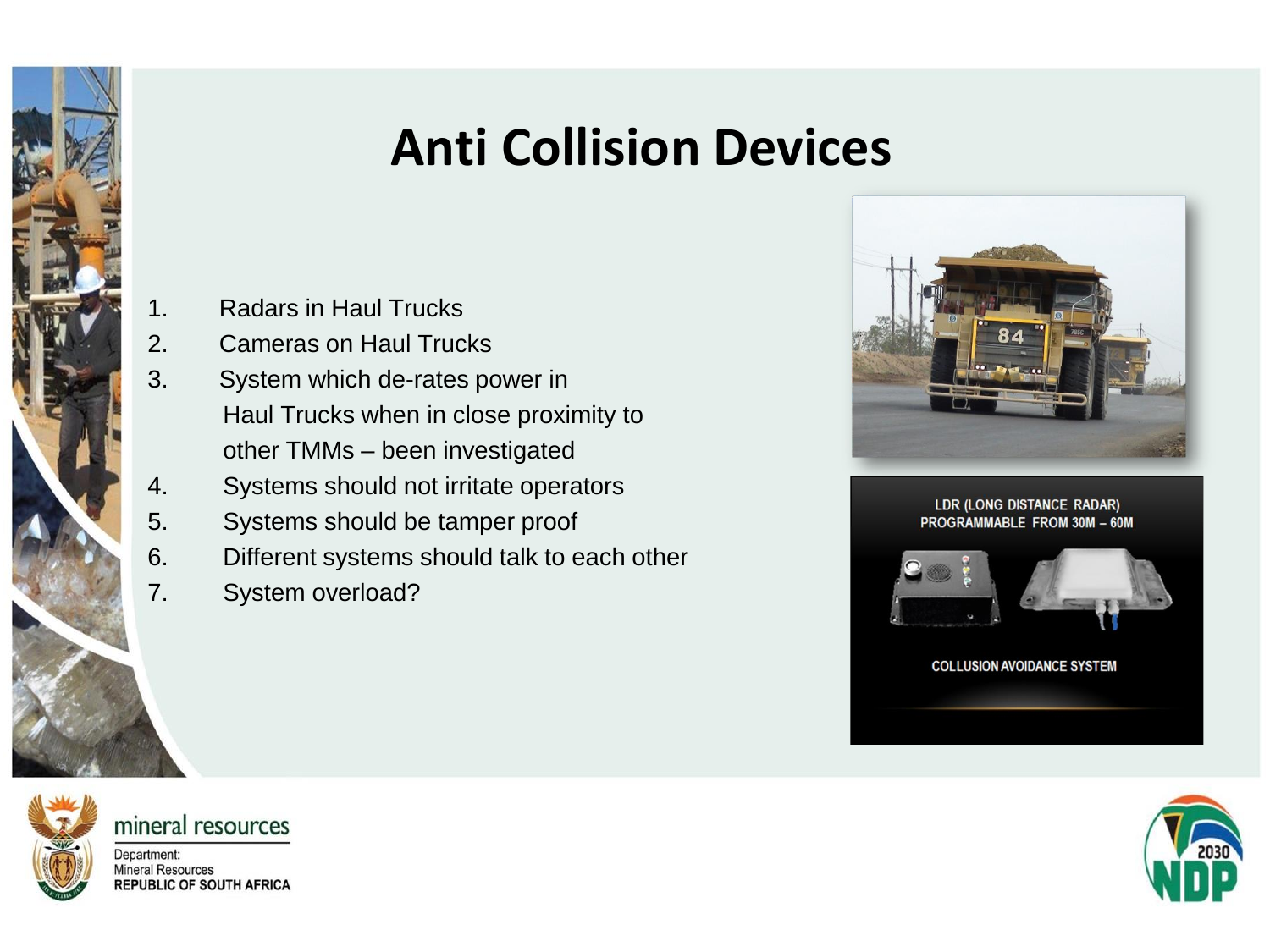### **Anti Collision Devices**

- 1. Radars in Haul Trucks
- 2. Cameras on Haul Trucks
- 3. System which de-rates power in Haul Trucks when in close proximity to other TMMs – been investigated
- 4. Systems should not irritate operators
- 5. Systems should be tamper proof
- 6. Different systems should talk to each other
- 7. System overload?



LDR (LONG DISTANCE RADAR) PROGRAMMABLE FROM 30M - 60M



**COLLUSION AVOIDANCE SYSTEM** 



mineral resources

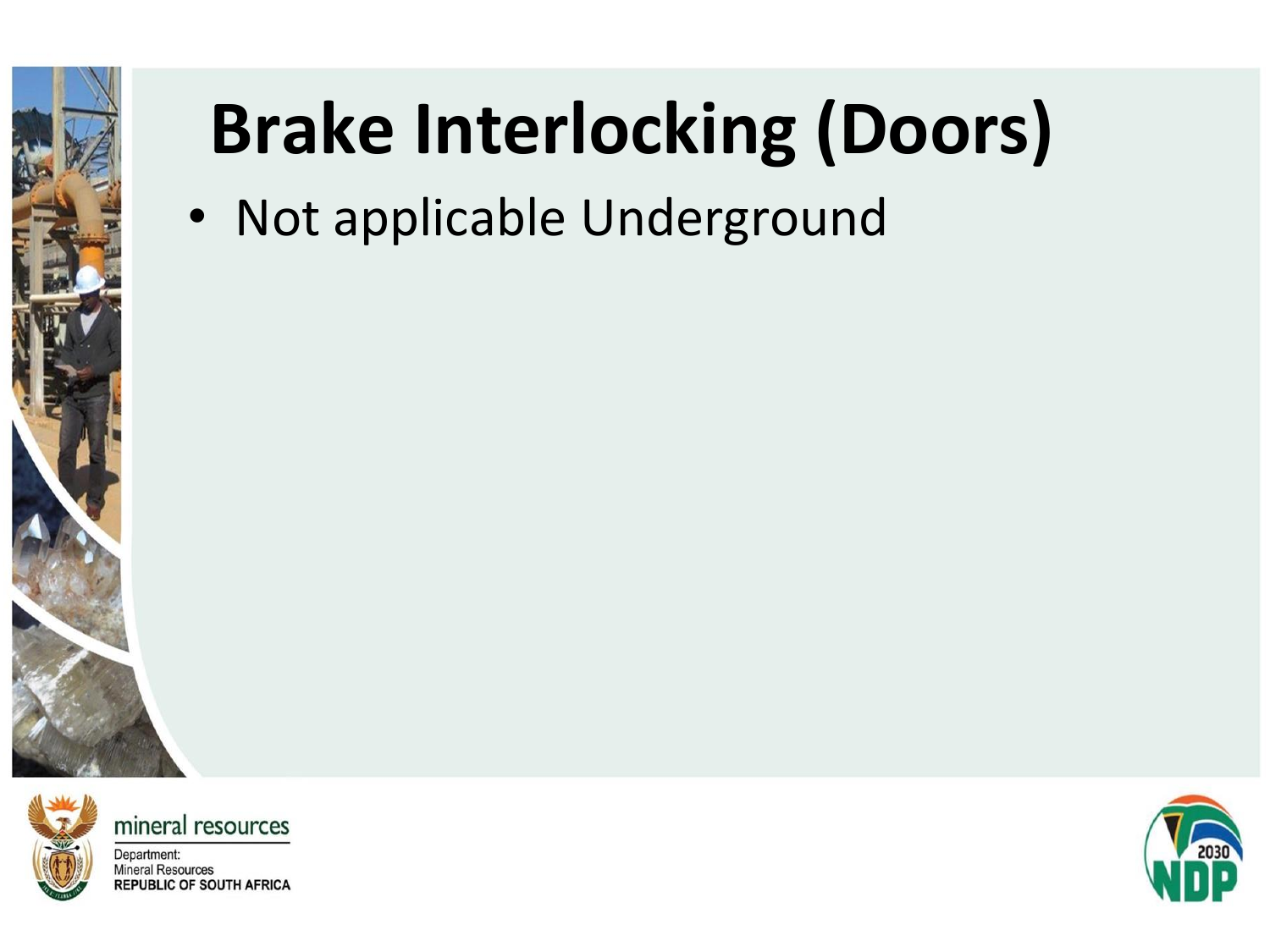

# **Brake Interlocking (Doors)**

• Not applicable Underground



mineral resources

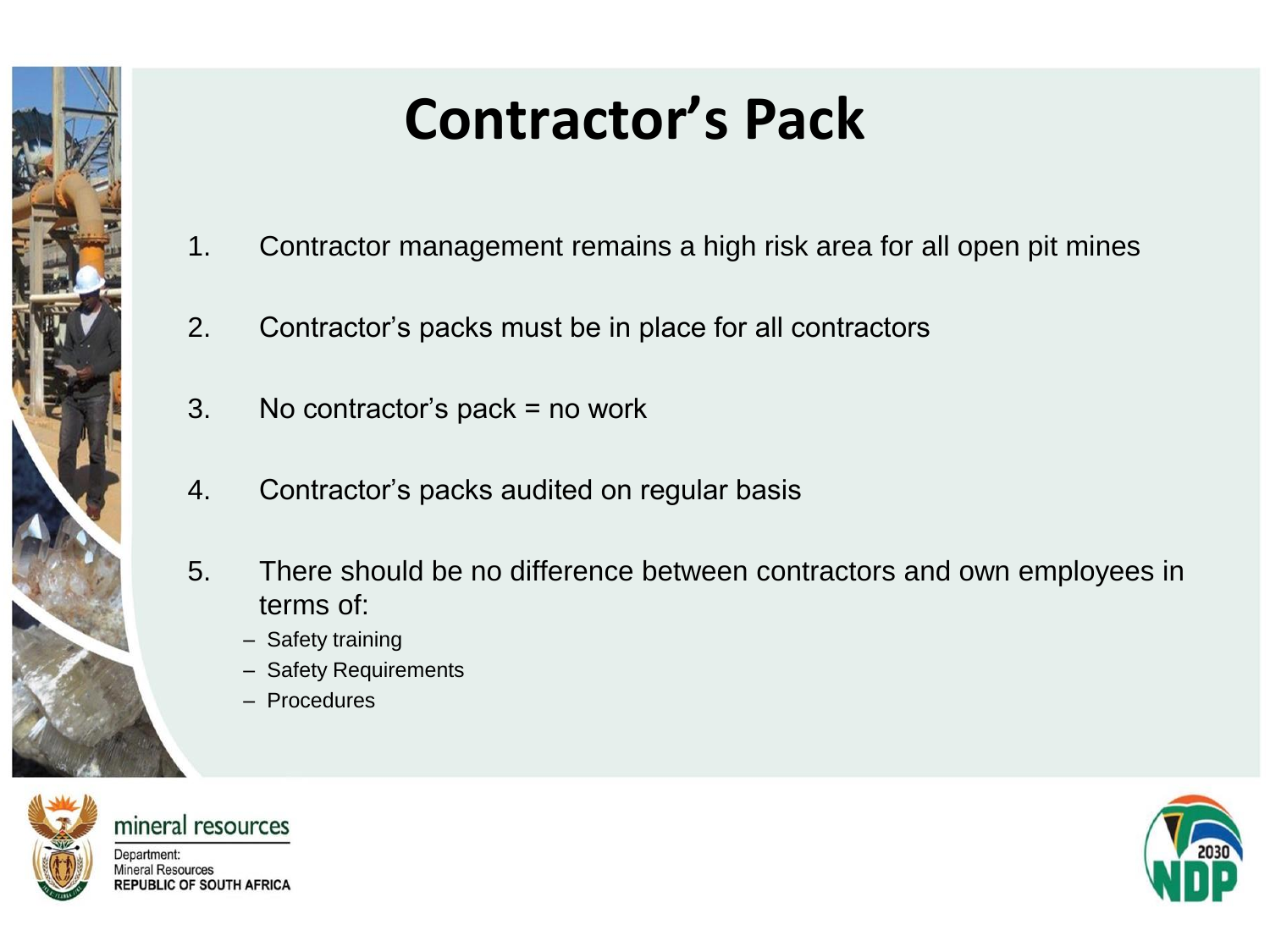

# **Contractor's Pack**

- 1. Contractor management remains a high risk area for all open pit mines
- 2. Contractor's packs must be in place for all contractors
- 3. No contractor's pack = no work
- 4. Contractor's packs audited on regular basis
- 5. There should be no difference between contractors and own employees in terms of:
	- Safety training
	- Safety Requirements
	- Procedures



mineral resources

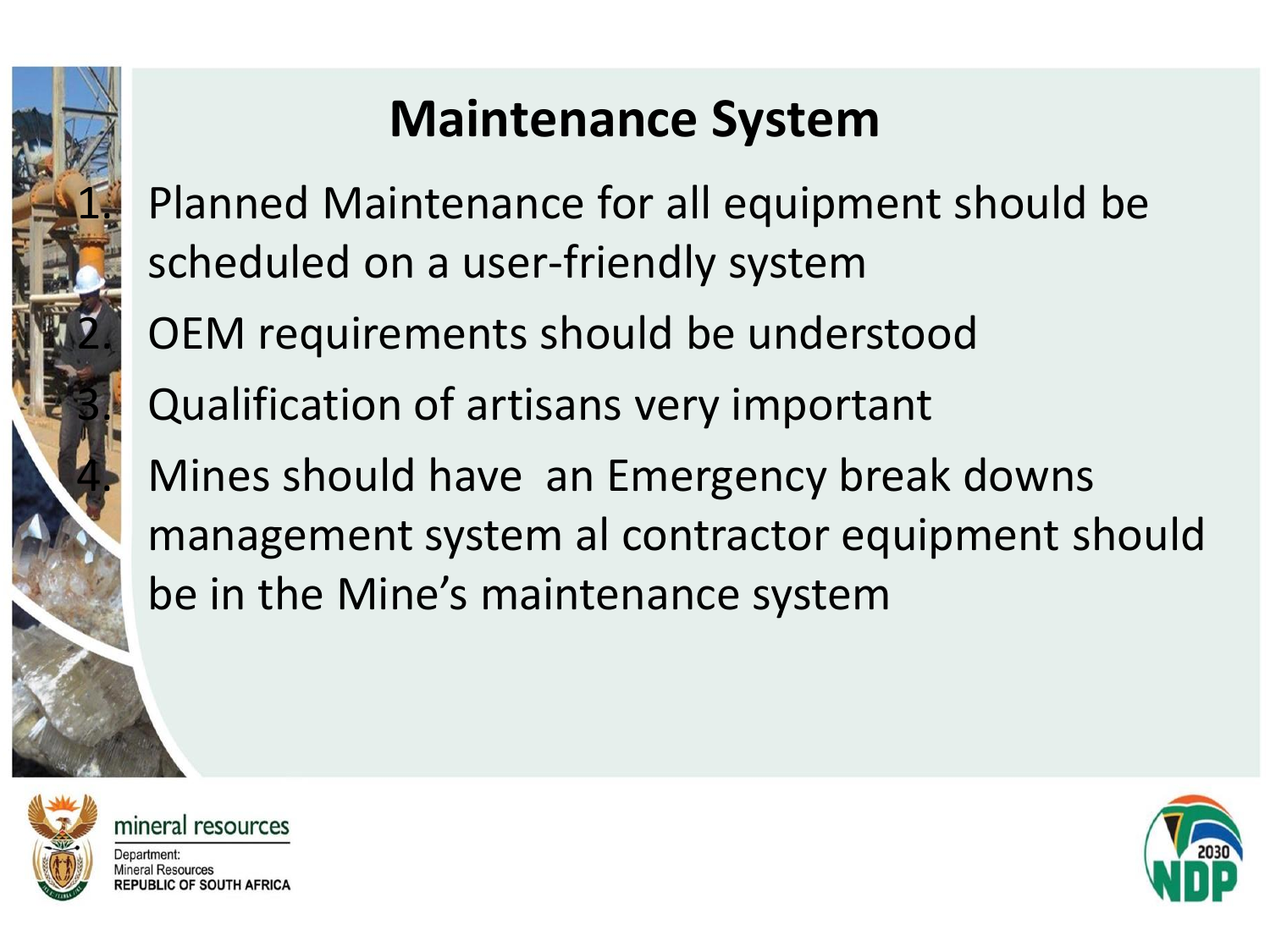### **Maintenance System**

Planned Maintenance for all equipment should be scheduled on a user-friendly system

OEM requirements should be understood

Qualification of artisans very important

Mines should have an Emergency break downs management system al contractor equipment should be in the Mine's maintenance system



mineral resources

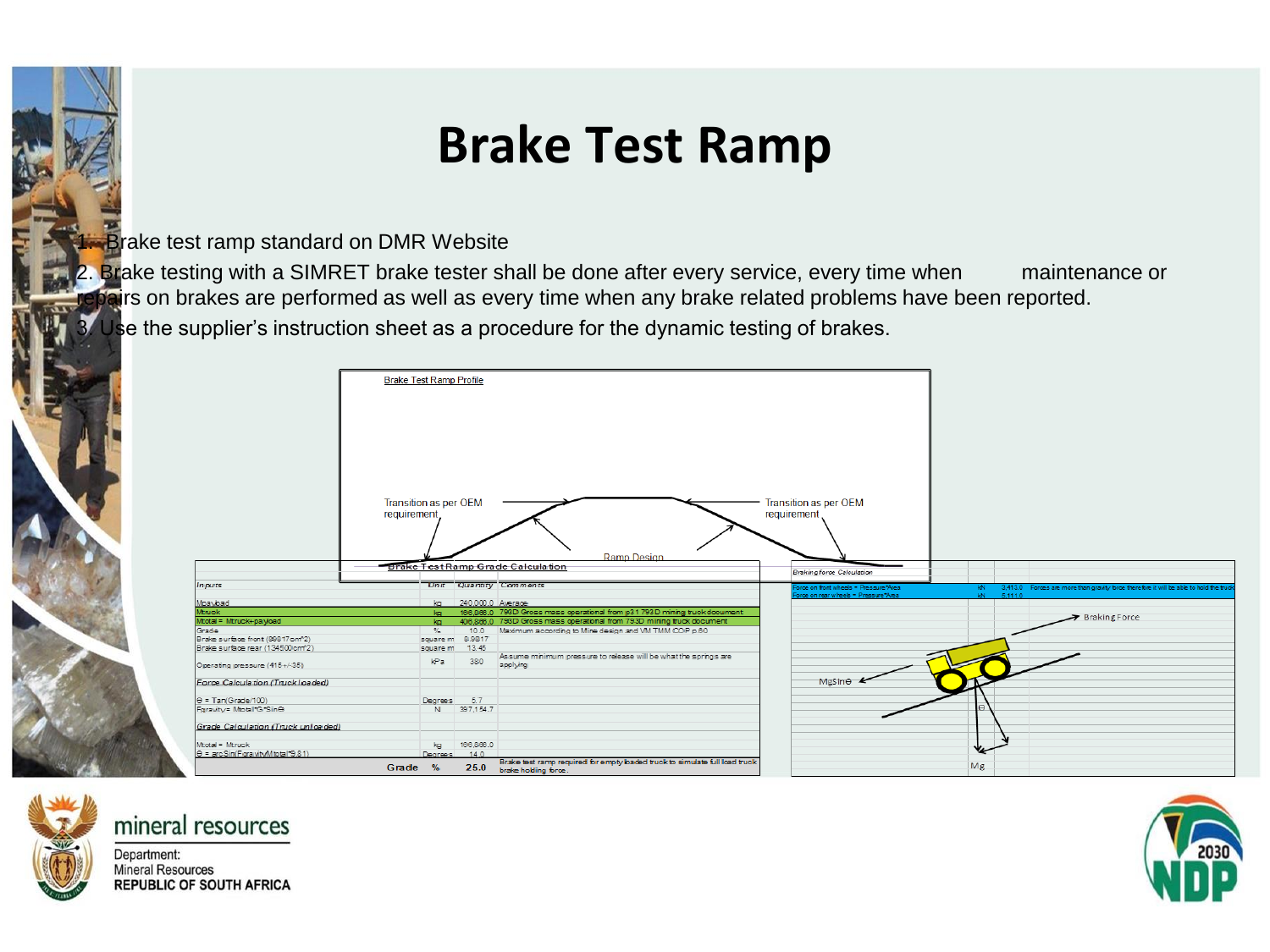#### **Brake Test Ramp**

**Brake test ramp standard on DMR Website** 

2. Brake testing with a SIMRET brake tester shall be done after every service, every time when maintenance or pairs on brakes are performed as well as every time when any brake related problems have been reported. Use the supplier's instruction sheet as a procedure for the dynamic testing of brakes.





#### mineral resources Department:

**Mineral Resources REPUBLIC OF SOUTH AFRICA** 

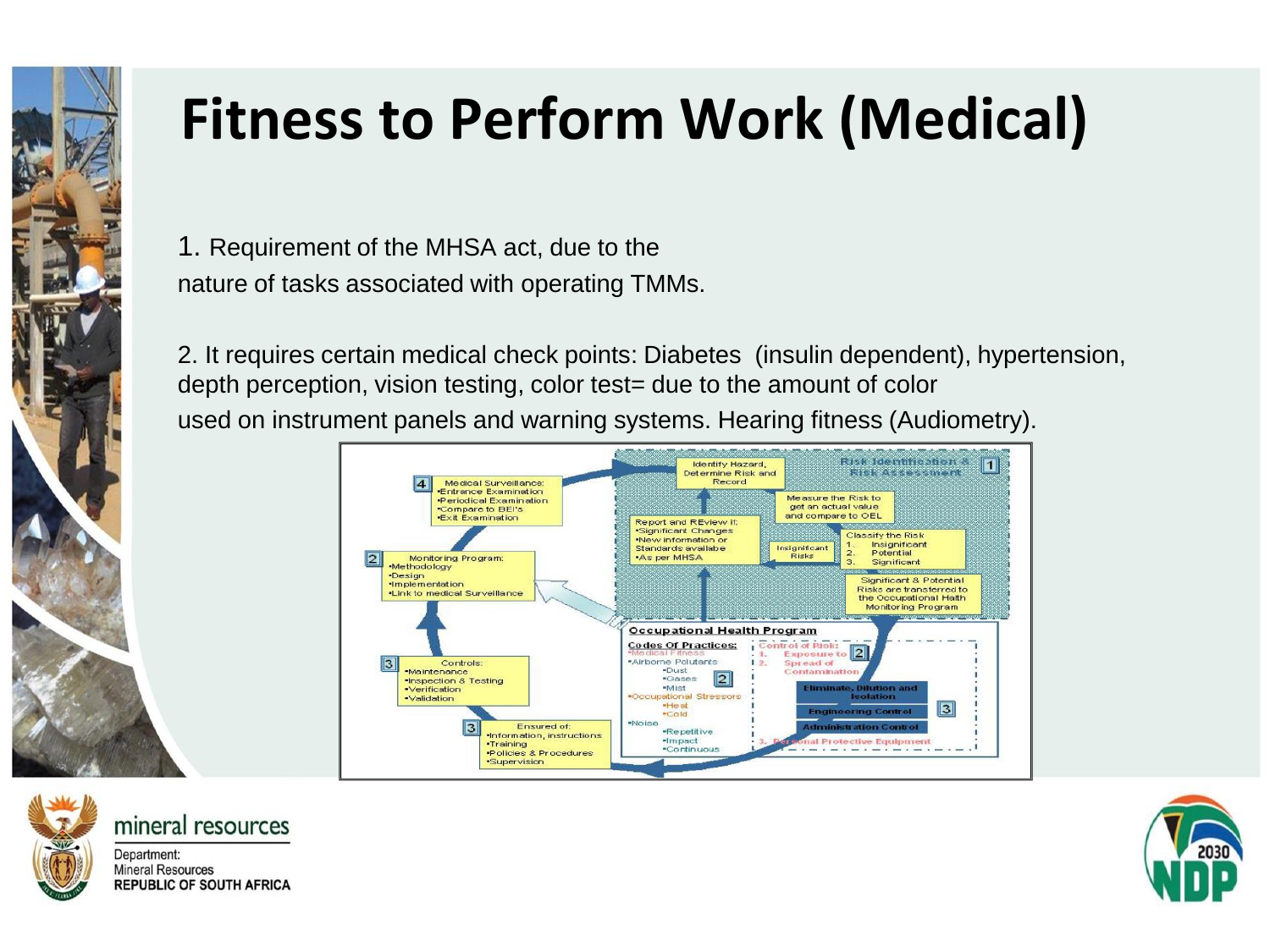

1. Requirement of the MHSA act, due to the nature of tasks associated with operating TMMs.

2. It requires certain medical check points: Diabetes (insulin dependent), hypertension, depth perception, vision testing, color test= due to the amount of color used on instrument panels and warning systems. Hearing fitness (Audiometry).





mineral resources Department:

**Mineral Resources REPUBLIC OF SOUTH AFRICA** 

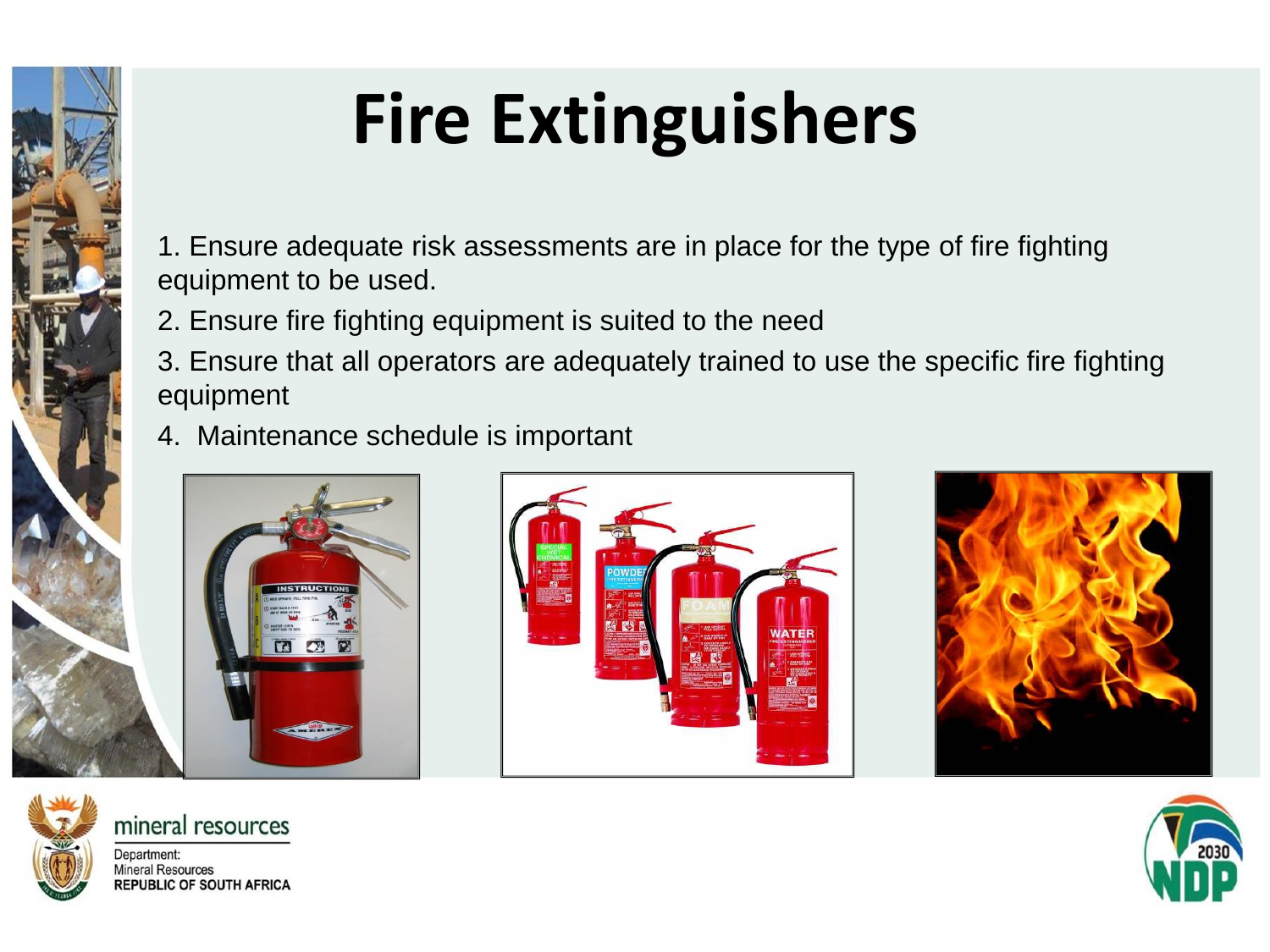# **Fire Extinguishers**

1. Ensure adequate risk assessments are in place for the type of fire fighting equipment to be used.

2. Ensure fire fighting equipment is suited to the need

3. Ensure that all operators are adequately trained to use the specific fire fighting equipment

4. Maintenance schedule is important







Department: **Mineral Resources REPUBLIC OF SOUTH AFRICA** 

mineral resources

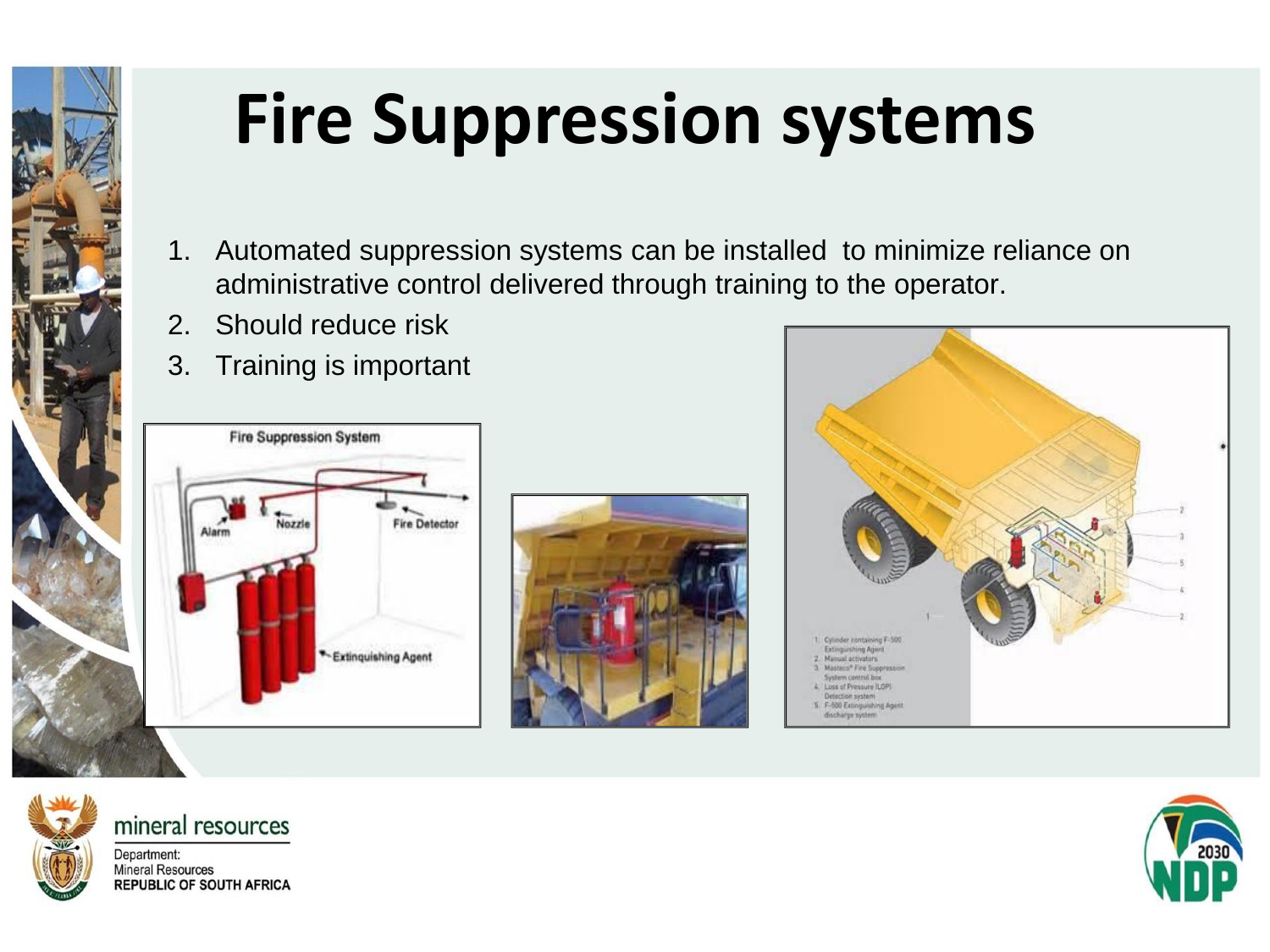

# **Fire Suppression systems**

- 1. Automated suppression systems can be installed to minimize reliance on administrative control delivered through training to the operator.
- 2. Should reduce risk
- 3. Training is important









#### mineral resources

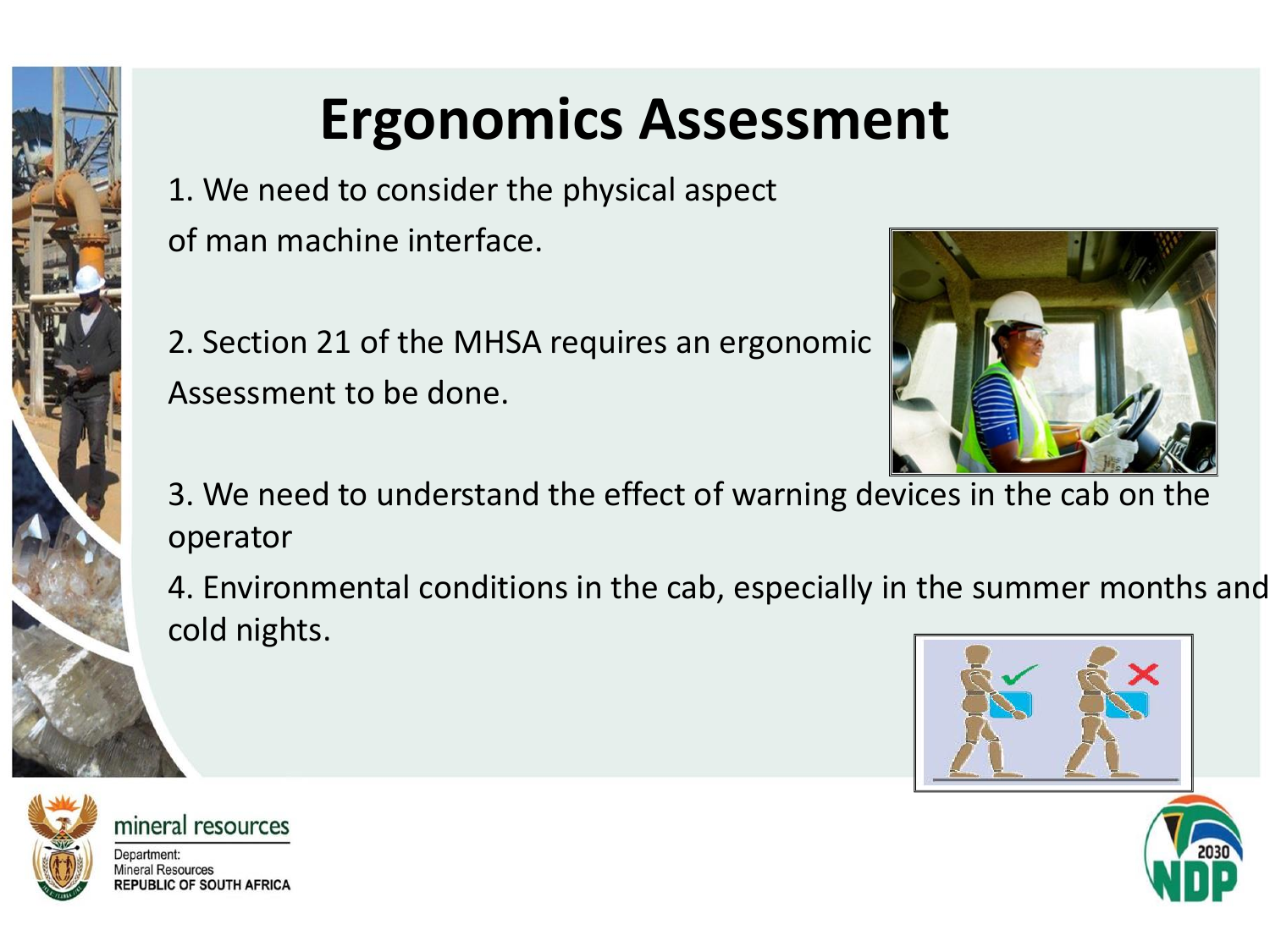# **Ergonomics Assessment**

1. We need to consider the physical aspect of man machine interface.

2. Section 21 of the MHSA requires an ergonomic Assessment to be done.



3. We need to understand the effect of warning devices in the cab on the operator

4. Environmental conditions in the cab, especially in the summer months and cold nights.







mineral resources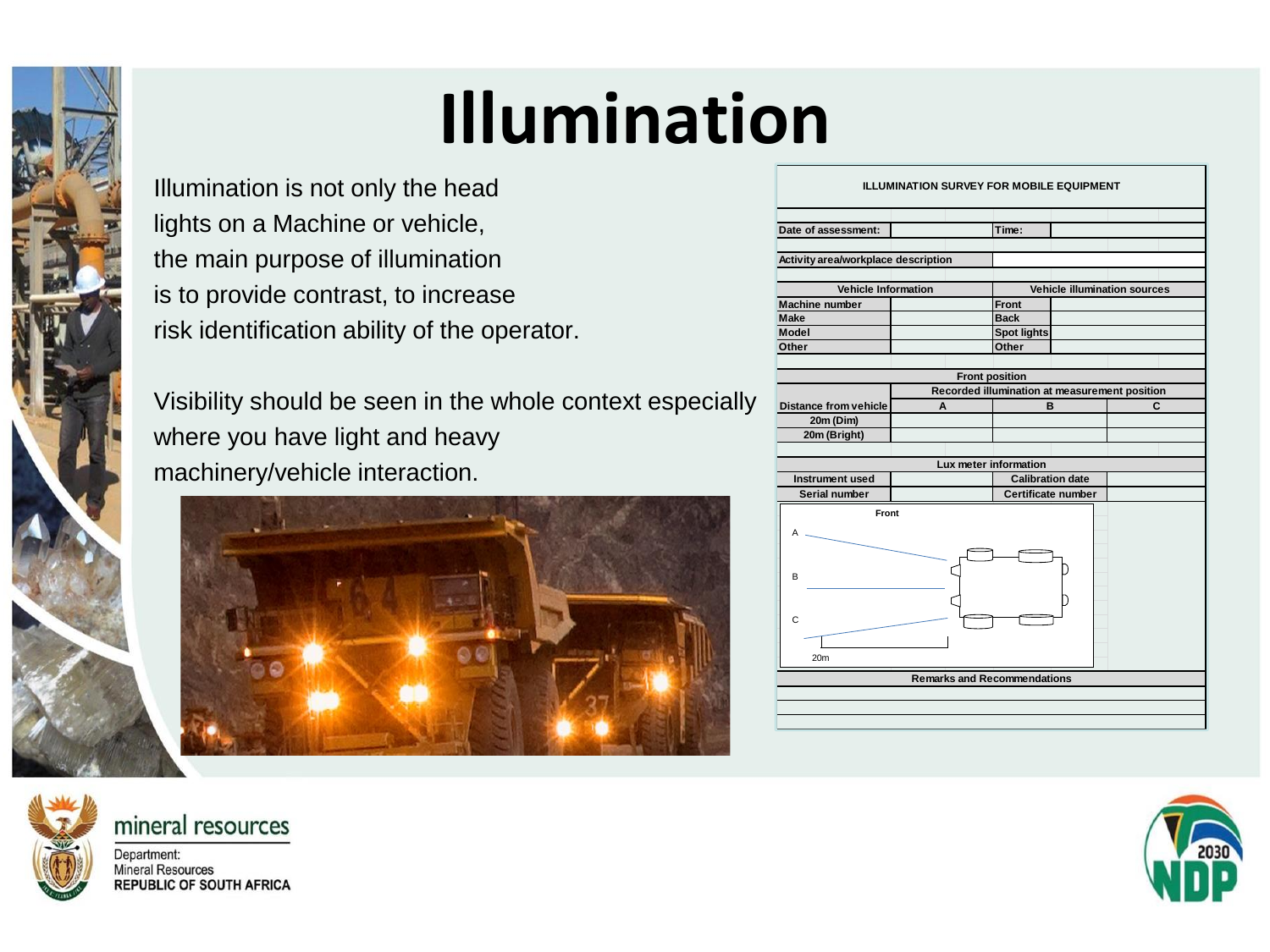# **Illumination**

Illumination is not only the head lights on a Machine or vehicle, the main purpose of illumination is to provide contrast, to increase risk identification ability of the operator.

Visibility should be seen in the whole context especially where you have light and heavy machinery/vehicle interaction.



| <b>ILLUMINATION SURVEY FOR MOBILE EQUIPMENT</b>     |                                               |                                              |  |   |  |  |  |  |  |  |
|-----------------------------------------------------|-----------------------------------------------|----------------------------------------------|--|---|--|--|--|--|--|--|
| Date of assessment:                                 |                                               | Time:                                        |  |   |  |  |  |  |  |  |
| Activity area/workplace description                 |                                               |                                              |  |   |  |  |  |  |  |  |
|                                                     |                                               |                                              |  |   |  |  |  |  |  |  |
| <b>Vehicle Information</b><br><b>Machine number</b> |                                               | <b>Vehicle illumination sources</b><br>Front |  |   |  |  |  |  |  |  |
| Make                                                |                                               | <b>Back</b>                                  |  |   |  |  |  |  |  |  |
| Model                                               |                                               | <b>Spot lights</b>                           |  |   |  |  |  |  |  |  |
| Other                                               |                                               | Other                                        |  |   |  |  |  |  |  |  |
|                                                     |                                               |                                              |  |   |  |  |  |  |  |  |
| <b>Front position</b>                               |                                               |                                              |  |   |  |  |  |  |  |  |
|                                                     | Recorded illumination at measurement position |                                              |  |   |  |  |  |  |  |  |
| <b>Distance from vehicle</b>                        | A                                             | B                                            |  | C |  |  |  |  |  |  |
| 20m (Dim)                                           |                                               |                                              |  |   |  |  |  |  |  |  |
| 20m (Bright)                                        |                                               |                                              |  |   |  |  |  |  |  |  |
| Lux meter information                               |                                               |                                              |  |   |  |  |  |  |  |  |
| Instrument used                                     | <b>Calibration date</b>                       |                                              |  |   |  |  |  |  |  |  |
| Serial number                                       |                                               | Certificate number                           |  |   |  |  |  |  |  |  |
|                                                     |                                               |                                              |  |   |  |  |  |  |  |  |
| Front<br>А                                          |                                               |                                              |  |   |  |  |  |  |  |  |
| B                                                   |                                               |                                              |  |   |  |  |  |  |  |  |
| C                                                   |                                               |                                              |  |   |  |  |  |  |  |  |
| 20m                                                 |                                               |                                              |  |   |  |  |  |  |  |  |
| <b>Remarks and Recommendations</b>                  |                                               |                                              |  |   |  |  |  |  |  |  |
|                                                     |                                               |                                              |  |   |  |  |  |  |  |  |
|                                                     |                                               |                                              |  |   |  |  |  |  |  |  |
|                                                     |                                               |                                              |  |   |  |  |  |  |  |  |



mineral resources